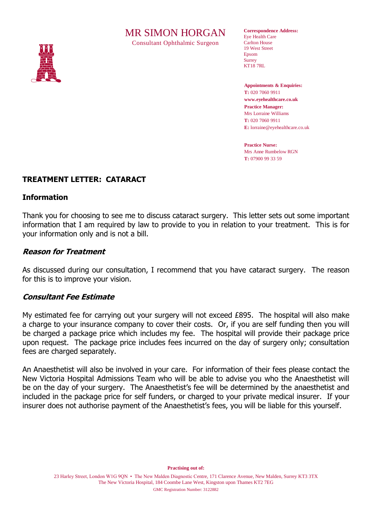# MR SIMON HORGAN

Consultant Ophthalmic Surgeon



**Correspondence Address:** Eye Health Care Carlton House 19 West Street Epsom **Surrey** KT18 7RL

**Appointments & Enquiries: T:** 020 7060 9911 **www.eyehealthcare.co.uk Practice Manager:** Mrs Lorraine Williams **T:** 020 7060 9911 **E:** lorraine@eyehealthcare.co.uk

**Practice Nurse:** Mrs Anne Rumbelow RGN **T:** 07900 99 33 59

## **TREATMENT LETTER: CATARACT**

#### **Information**

Thank you for choosing to see me to discuss cataract surgery. This letter sets out some important information that I am required by law to provide to you in relation to your treatment. This is for your information only and is not a bill.

#### **Reason for Treatment**

As discussed during our consultation, I recommend that you have cataract surgery. The reason for this is to improve your vision.

#### **Consultant Fee Estimate**

My estimated fee for carrying out your surgery will not exceed £895. The hospital will also make a charge to your insurance company to cover their costs. Or, if you are self funding then you will be charged a package price which includes my fee. The hospital will provide their package price upon request. The package price includes fees incurred on the day of surgery only; consultation fees are charged separately.

An Anaesthetist will also be involved in your care. For information of their fees please contact the New Victoria Hospital Admissions Team who will be able to advise you who the Anaesthetist will be on the day of your surgery. The Anaesthetist's fee will be determined by the anaesthetist and included in the package price for self funders, or charged to your private medical insurer. If your insurer does not authorise payment of the Anaesthetist's fees, you will be liable for this yourself.

**Practising out of:**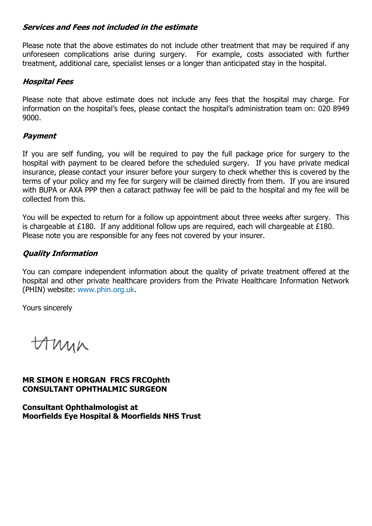#### **Services and Fees not included in the estimate**

Please note that the above estimates do not include other treatment that may be required if any unforeseen complications arise during surgery. For example, costs associated with further treatment, additional care, specialist lenses or a longer than anticipated stay in the hospital.

#### **Hospital Fees**

Please note that above estimate does not include any fees that the hospital may charge. For information on the hospital's fees, please contact the hospital's administration team on: 020 8949 9000.

## **Payment**

If you are self funding, you will be required to pay the full package price for surgery to the hospital with payment to be cleared before the scheduled surgery. If you have private medical insurance, please contact your insurer before your surgery to check whether this is covered by the terms of your policy and my fee for surgery will be claimed directly from them. If you are insured with BUPA or AXA PPP then a cataract pathway fee will be paid to the hospital and my fee will be collected from this.

You will be expected to return for a follow up appointment about three weeks after surgery. This is chargeable at £180. If any additional follow ups are required, each will chargeable at £180. Please note you are responsible for any fees not covered by your insurer.

# **Quality Information**

You can compare independent information about the quality of private treatment offered at the hospital and other private healthcare providers from the Private Healthcare Information Network (PHIN) website: [www.phin.org.uk.](http://www.phin.org.uk/)

Yours sincerely

Amin

# **MR SIMON E HORGAN FRCS FRCOphth CONSULTANT OPHTHALMIC SURGEON**

**Consultant Ophthalmologist at Moorfields Eye Hospital & Moorfields NHS Trust**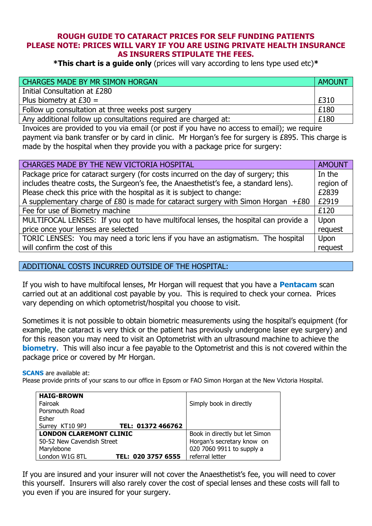#### **ROUGH GUIDE TO CATARACT PRICES FOR SELF FUNDING PATIENTS PLEASE NOTE: PRICES WILL VARY IF YOU ARE USING PRIVATE HEALTH INSURANCE AS INSURERS STIPULATE THE FEES.**

**\*This chart is a guide only** (prices will vary according to lens type used etc)**\***

| CHARGES MADE BY MR SIMON HORGAN                                 | AMOUNT |
|-----------------------------------------------------------------|--------|
| Initial Consultation at £280                                    |        |
| Plus biometry at $E30 =$                                        | £310   |
| Follow up consultation at three weeks post surgery              | £180   |
| Any additional follow up consultations required are charged at: | £180   |

Invoices are provided to you via email (or post if you have no access to email); we require payment via bank transfer or by card in clinic. Mr Horgan's fee for surgery is £895. This charge is made by the hospital when they provide you with a package price for surgery:

| Package price for cataract surgery (for costs incurred on the day of surgery; this<br>In the<br>includes theatre costs, the Surgeon's fee, the Anaesthetist's fee, a standard lens).<br>region of<br>Please check this price with the hospital as it is subject to change:<br>£2839 |  |
|-------------------------------------------------------------------------------------------------------------------------------------------------------------------------------------------------------------------------------------------------------------------------------------|--|
|                                                                                                                                                                                                                                                                                     |  |
|                                                                                                                                                                                                                                                                                     |  |
|                                                                                                                                                                                                                                                                                     |  |
| A supplementary charge of $£80$ is made for cataract surgery with Simon Horgan $+£80$<br>£2919                                                                                                                                                                                      |  |
| Fee for use of Biometry machine<br>£120                                                                                                                                                                                                                                             |  |
| MULTIFOCAL LENSES: If you opt to have multifocal lenses, the hospital can provide a<br>Upon                                                                                                                                                                                         |  |
| price once your lenses are selected<br>request                                                                                                                                                                                                                                      |  |
| TORIC LENSES: You may need a toric lens if you have an astigmatism. The hospital<br>Upon                                                                                                                                                                                            |  |
| will confirm the cost of this<br>request                                                                                                                                                                                                                                            |  |

#### ADDITIONAL COSTS INCURRED OUTSIDE OF THE HOSPITAL:

If you wish to have multifocal lenses, Mr Horgan will request that you have a **Pentacam** scan carried out at an additional cost payable by you. This is required to check your cornea. Prices vary depending on which optometrist/hospital you choose to visit.

Sometimes it is not possible to obtain biometric measurements using the hospital's equipment (for example, the cataract is very thick or the patient has previously undergone laser eye surgery) and for this reason you may need to visit an Optometrist with an ultrasound machine to achieve the **biometry.** This will also incur a fee payable to the Optometrist and this is not covered within the package price or covered by Mr Horgan.

**SCANS** are available at:

Please provide prints of your scans to our office in Epsom or FAO Simon Horgan at the New Victoria Hospital.

| <b>HAIG-BROWN</b>              |                    |                                |
|--------------------------------|--------------------|--------------------------------|
| Fairoak                        |                    | Simply book in directly        |
| Porsmouth Road                 |                    |                                |
| Esher                          |                    |                                |
| Surrey KT10 9PJ                | TEL: 01372 466762  |                                |
| <b>LONDON CLAREMONT CLINIC</b> |                    | Book in directly but let Simon |
| 50-52 New Cavendish Street     |                    | Horgan's secretary know on     |
| Marylebone                     |                    | 020 7060 9911 to supply a      |
| London W1G 8TL                 | TEL: 020 3757 6555 | referral letter                |

If you are insured and your insurer will not cover the Anaesthetist's fee, you will need to cover this yourself. Insurers will also rarely cover the cost of special lenses and these costs will fall to you even if you are insured for your surgery.